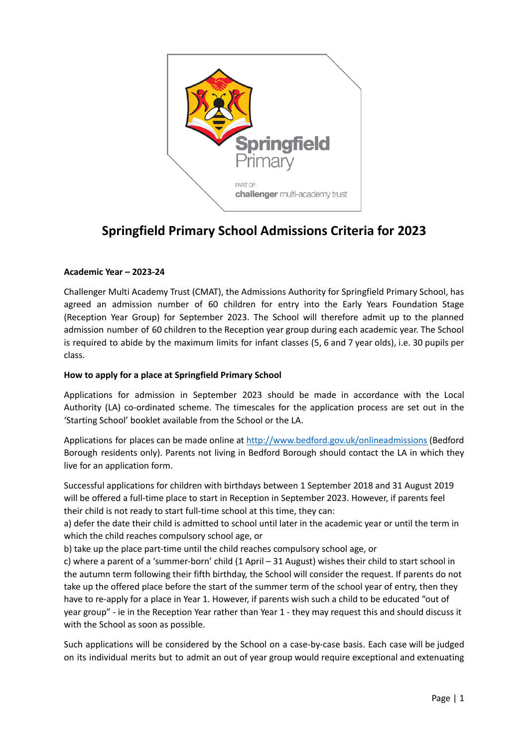

# **Springfield Primary School Admissions Criteria for 2023**

# **Academic Year – 2023-24**

Challenger Multi Academy Trust (CMAT), the Admissions Authority for Springfield Primary School, has agreed an admission number of 60 children for entry into the Early Years Foundation Stage (Reception Year Group) for September 2023. The School will therefore admit up to the planned admission number of 60 children to the Reception year group during each academic year. The School is required to abide by the maximum limits for infant classes (5, 6 and 7 year olds), i.e. 30 pupils per class.

# **How to apply for a place at Springfield Primary School**

Applications for admission in September 2023 should be made in accordance with the Local Authority (LA) co-ordinated scheme. The timescales for the application process are set out in the 'Starting School' booklet available from the School or the LA.

Applications for places can be made online at <http://www.bedford.gov.uk/onlineadmissions> (Bedford Borough residents only). Parents not living in Bedford Borough should contact the LA in which they live for an application form.

Successful applications for children with birthdays between 1 September 2018 and 31 August 2019 will be offered a full-time place to start in Reception in September 2023. However, if parents feel their child is not ready to start full-time school at this time, they can:

a) defer the date their child is admitted to school until later in the academic year or until the term in which the child reaches compulsory school age, or

b) take up the place part-time until the child reaches compulsory school age, or

c) where a parent of a 'summer-born' child (1 April – 31 August) wishes their child to start school in the autumn term following their fifth birthday, the School will consider the request. If parents do not take up the offered place before the start of the summer term of the school year of entry, then they have to re-apply for a place in Year 1. However, if parents wish such a child to be educated "out of year group" - ie in the Reception Year rather than Year 1 - they may request this and should discuss it with the School as soon as possible.

Such applications will be considered by the School on a case-by-case basis. Each case will be judged on its individual merits but to admit an out of year group would require exceptional and extenuating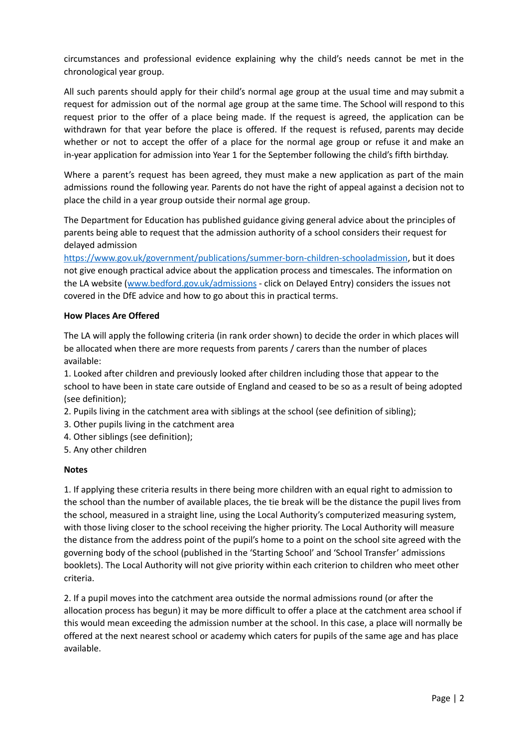circumstances and professional evidence explaining why the child's needs cannot be met in the chronological year group.

All such parents should apply for their child's normal age group at the usual time and may submit a request for admission out of the normal age group at the same time. The School will respond to this request prior to the offer of a place being made. If the request is agreed, the application can be withdrawn for that year before the place is offered. If the request is refused, parents may decide whether or not to accept the offer of a place for the normal age group or refuse it and make an in-year application for admission into Year 1 for the September following the child's fifth birthday.

Where a parent's request has been agreed, they must make a new application as part of the main admissions round the following year. Parents do not have the right of appeal against a decision not to place the child in a year group outside their normal age group.

The Department for Education has published guidance giving general advice about the principles of parents being able to request that the admission authority of a school considers their request for delayed admission

<https://www.gov.uk/government/publications/summer-born-children-schooladmission>, but it does not give enough practical advice about the application process and timescales. The information on the LA website (www.bedford.gov.uk/admissions - click on Delayed Entry) considers the issues not covered in the DfE advice and how to go about this in practical terms.

## **How Places Are Offered**

The LA will apply the following criteria (in rank order shown) to decide the order in which places will be allocated when there are more requests from parents / carers than the number of places available:

1. Looked after children and previously looked after children including those that appear to the school to have been in state care outside of England and ceased to be so as a result of being adopted (see definition);

- 2. Pupils living in the catchment area with siblings at the school (see definition of sibling);
- 3. Other pupils living in the catchment area
- 4. Other siblings (see definition);
- 5. Any other children

## **Notes**

1. If applying these criteria results in there being more children with an equal right to admission to the school than the number of available places, the tie break will be the distance the pupil lives from the school, measured in a straight line, using the Local Authority's computerized measuring system, with those living closer to the school receiving the higher priority. The Local Authority will measure the distance from the address point of the pupil's home to a point on the school site agreed with the governing body of the school (published in the 'Starting School' and 'School Transfer' admissions booklets). The Local Authority will not give priority within each criterion to children who meet other criteria.

2. If a pupil moves into the catchment area outside the normal admissions round (or after the allocation process has begun) it may be more difficult to offer a place at the catchment area school if this would mean exceeding the admission number at the school. In this case, a place will normally be offered at the next nearest school or academy which caters for pupils of the same age and has place available.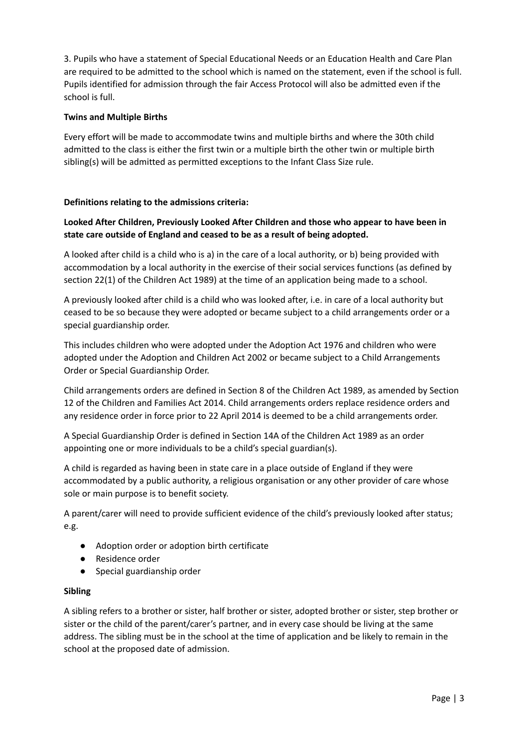3. Pupils who have a statement of Special Educational Needs or an Education Health and Care Plan are required to be admitted to the school which is named on the statement, even if the school is full. Pupils identified for admission through the fair Access Protocol will also be admitted even if the school is full.

## **Twins and Multiple Births**

Every effort will be made to accommodate twins and multiple births and where the 30th child admitted to the class is either the first twin or a multiple birth the other twin or multiple birth sibling(s) will be admitted as permitted exceptions to the Infant Class Size rule.

## **Definitions relating to the admissions criteria:**

# **Looked After Children, Previously Looked After Children and those who appear to have been in state care outside of England and ceased to be as a result of being adopted.**

A looked after child is a child who is a) in the care of a local authority, or b) being provided with accommodation by a local authority in the exercise of their social services functions (as defined by section 22(1) of the Children Act 1989) at the time of an application being made to a school.

A previously looked after child is a child who was looked after, i.e. in care of a local authority but ceased to be so because they were adopted or became subject to a child arrangements order or a special guardianship order.

This includes children who were adopted under the Adoption Act 1976 and children who were adopted under the Adoption and Children Act 2002 or became subject to a Child Arrangements Order or Special Guardianship Order.

Child arrangements orders are defined in Section 8 of the Children Act 1989, as amended by Section 12 of the Children and Families Act 2014. Child arrangements orders replace residence orders and any residence order in force prior to 22 April 2014 is deemed to be a child arrangements order.

A Special Guardianship Order is defined in Section 14A of the Children Act 1989 as an order appointing one or more individuals to be a child's special guardian(s).

A child is regarded as having been in state care in a place outside of England if they were accommodated by a public authority, a religious organisation or any other provider of care whose sole or main purpose is to benefit society.

A parent/carer will need to provide sufficient evidence of the child's previously looked after status; e.g.

- Adoption order or adoption birth certificate
- Residence order
- Special guardianship order

## **Sibling**

A sibling refers to a brother or sister, half brother or sister, adopted brother or sister, step brother or sister or the child of the parent/carer's partner, and in every case should be living at the same address. The sibling must be in the school at the time of application and be likely to remain in the school at the proposed date of admission.